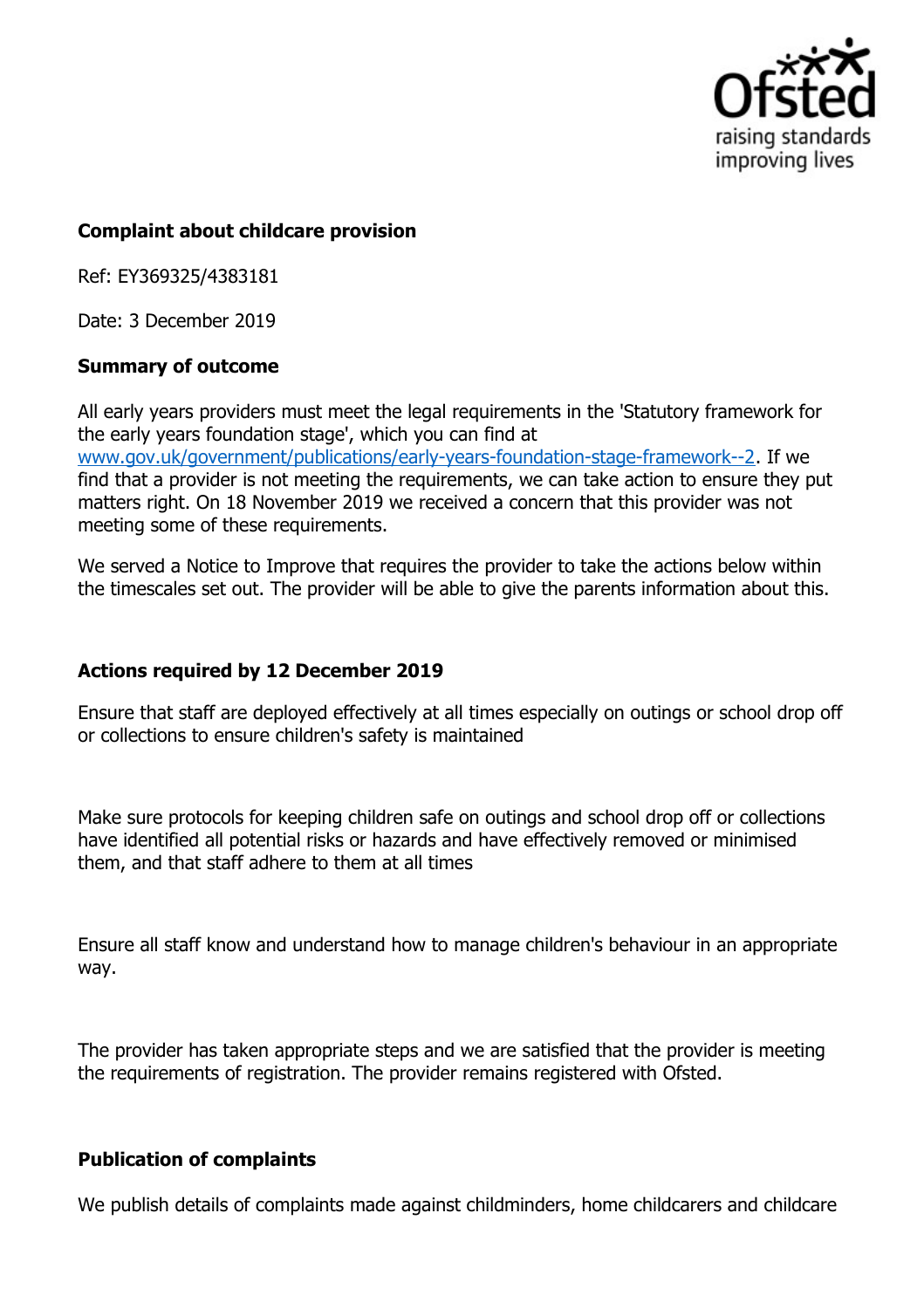

## **Complaint about childcare provision**

Ref: EY369325/4383181

Date: 3 December 2019

## **Summary of outcome**

All early years providers must meet the legal requirements in the 'Statutory framework for the early years foundation stage', which you can find at www.gov.uk/government/publications/early-years-foundation-stage-framework--2. If we find that a provider is not meeting the requirements, we can take action to ensure they put matters right. On 18 November 2019 we received a concern that this provider was not meeting some of these requirements.

We served a Notice to Improve that requires the provider to take the actions below within the timescales set out. The provider will be able to give the parents information about this.

## **Actions required by 12 December 2019**

Ensure that staff are deployed effectively at all times especially on outings or school drop off or collections to ensure children's safety is maintained

Make sure protocols for keeping children safe on outings and school drop off or collections have identified all potential risks or hazards and have effectively removed or minimised them, and that staff adhere to them at all times

Ensure all staff know and understand how to manage children's behaviour in an appropriate way.

The provider has taken appropriate steps and we are satisfied that the provider is meeting the requirements of registration. The provider remains registered with Ofsted.

## **Publication of complaints**

We publish details of complaints made against childminders, home childcarers and childcare